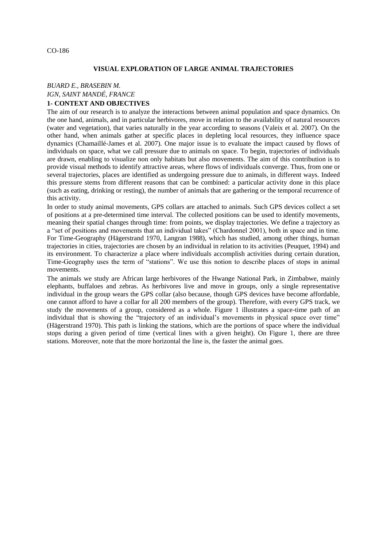### CO-186

### **VISUAL EXPLORATION OF LARGE ANIMAL TRAJECTORIES**

## *BUARD E., BRASEBIN M. IGN, SAINT MANDÉ, FRANCE*

# **1- CONTEXT AND OBJECTIVES**

The aim of our research is to analyze the interactions between animal population and space dynamics. On the one hand, animals, and in particular herbivores, move in relation to the availability of natural resources (water and vegetation), that varies naturally in the year according to seasons (Valeix et al. 2007). On the other hand, when animals gather at specific places in depleting local resources, they influence space dynamics (Chamaillé-James et al. 2007). One major issue is to evaluate the impact caused by flows of individuals on space, what we call pressure due to animals on space. To begin, trajectories of individuals are drawn, enabling to visualize non only habitats but also movements. The aim of this contribution is to provide visual methods to identify attractive areas, where flows of individuals converge. Thus, from one or several trajectories, places are identified as undergoing pressure due to animals, in different ways. Indeed this pressure stems from different reasons that can be combined: a particular activity done in this place (such as eating, drinking or resting), the number of animals that are gathering or the temporal recurrence of this activity.

In order to study animal movements, GPS collars are attached to animals. Such GPS devices collect a set of positions at a pre-determined time interval. The collected positions can be used to identify movements, meaning their spatial changes through time: from points, we display trajectories. We define a trajectory as a "set of positions and movements that an individual takes" (Chardonnel 2001), both in space and in time. For Time-Geography (Hägerstrand 1970, Langran 1988), which has studied, among other things, human trajectories in cities, trajectories are chosen by an individual in relation to its activities (Peuquet, 1994) and its environment. To characterize a place where individuals accomplish activities during certain duration, Time-Geography uses the term of "stations". We use this notion to describe places of stops in animal movements.

The animals we study are African large herbivores of the Hwange National Park, in Zimbabwe, mainly elephants, buffaloes and zebras. As herbivores live and move in groups, only a single representative individual in the group wears the GPS collar (also because, though GPS devices have become affordable, one cannot afford to have a collar for all 200 members of the group). Therefore, with every GPS track, we study the movements of a group, considered as a whole. Figure 1 illustrates a space-time path of an individual that is showing the "trajectory of an individual's movements in physical space over time" (Hägerstrand 1970). This path is linking the stations, which are the portions of space where the individual stops during a given period of time (vertical lines with a given height). On Figure 1, there are three stations. Moreover, note that the more horizontal the line is, the faster the animal goes.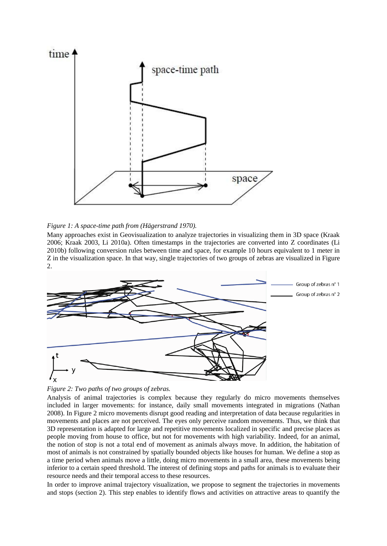

### *Figure 1: A space-time path from (Hägerstrand 1970).*

Many approaches exist in Geovisualization to analyze trajectories in visualizing them in 3D space (Kraak 2006; Kraak 2003, Li 2010a). Often timestamps in the trajectories are converted into Z coordinates (Li 2010b) following conversion rules between time and space, for example 10 hours equivalent to 1 meter in Z in the visualization space. In that way, single trajectories of two groups of zebras are visualized in Figure 2.





Analysis of animal trajectories is complex because they regularly do micro movements themselves included in larger movements: for instance, daily small movements integrated in migrations (Nathan 2008). In Figure 2 micro movements disrupt good reading and interpretation of data because regularities in movements and places are not perceived. The eyes only perceive random movements. Thus, we think that 3D representation is adapted for large and repetitive movements localized in specific and precise places as people moving from house to office, but not for movements with high variability. Indeed, for an animal, the notion of stop is not a total end of movement as animals always move. In addition, the habitation of most of animals is not constrained by spatially bounded objects like houses for human. We define a stop as a time period when animals move a little, doing micro movements in a small area, these movements being inferior to a certain speed threshold. The interest of defining stops and paths for animals is to evaluate their resource needs and their temporal access to these resources.

In order to improve animal trajectory visualization, we propose to segment the trajectories in movements and stops (section 2). This step enables to identify flows and activities on attractive areas to quantify the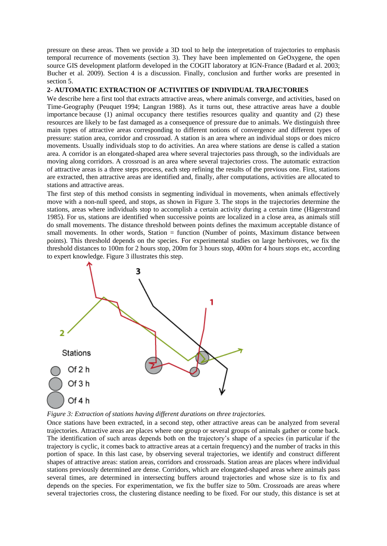pressure on these areas. Then we provide a 3D tool to help the interpretation of trajectories to emphasis temporal recurrence of movements (section 3). They have been implemented on GeOxygene, the open source GIS development platform developed in the COGIT laboratory at IGN-France (Badard et al. 2003; Bucher et al. 2009). Section 4 is a discussion. Finally, conclusion and further works are presented in section 5.

### **2- AUTOMATIC EXTRACTION OF ACTIVITIES OF INDIVIDUAL TRAJECTORIES**

We describe here a first tool that extracts attractive areas, where animals converge, and activities, based on Time-Geography (Peuquet 1994; Langran 1988). As it turns out, these attractive areas have a double importance because (1) animal occupancy there testifies resources quality and quantity and (2) these resources are likely to be fast damaged as a consequence of pressure due to animals. We distinguish three main types of attractive areas corresponding to different notions of convergence and different types of pressure: station area, corridor and crossroad. A station is an area where an individual stops or does micro movements. Usually individuals stop to do activities. An area where stations are dense is called a station area. A corridor is an elongated-shaped area where several trajectories pass through, so the individuals are moving along corridors. A crossroad is an area where several trajectories cross. The automatic extraction of attractive areas is a three steps process, each step refining the results of the previous one. First, stations are extracted, then attractive areas are identified and, finally, after computations, activities are allocated to stations and attractive areas.

The first step of this method consists in segmenting individual in movements, when animals effectively move with a non-null speed, and stops, as shown in Figure 3. The stops in the trajectories determine the stations, areas where individuals stop to accomplish a certain activity during a certain time (Hägerstrand 1985). For us, stations are identified when successive points are localized in a close area, as animals still do small movements. The distance threshold between points defines the maximum acceptable distance of small movements. In other words, Station = function (Number of points, Maximum distance between points). This threshold depends on the species. For experimental studies on large herbivores, we fix the threshold distances to 100m for 2 hours stop, 200m for 3 hours stop, 400m for 4 hours stops etc, according to expert knowledge. Figure 3 illustrates this step.



### *Figure 3: Extraction of stations having different durations on three trajectories.*

Once stations have been extracted, in a second step, other attractive areas can be analyzed from several trajectories. Attractive areas are places where one group or several groups of animals gather or come back. The identification of such areas depends both on the trajectory's shape of a species (in particular if the trajectory is cyclic, it comes back to attractive areas at a certain frequency) and the number of tracks in this portion of space. In this last case, by observing several trajectories, we identify and construct different shapes of attractive areas: station areas, corridors and crossroads. Station areas are places where individual stations previously determined are dense. Corridors, which are elongated-shaped areas where animals pass several times, are determined in intersecting buffers around trajectories and whose size is to fix and depends on the species. For experimentation, we fix the buffer size to 50m. Crossroads are areas where several trajectories cross, the clustering distance needing to be fixed. For our study, this distance is set at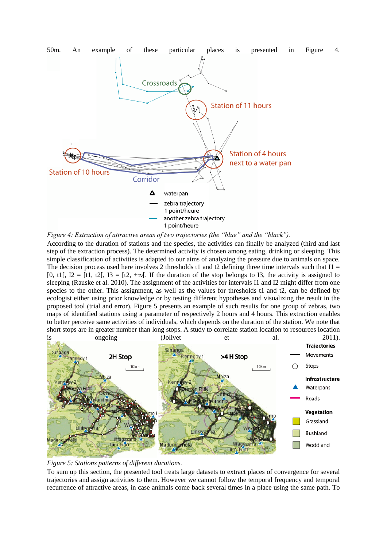

*Figure 4: Extraction of attractive areas of two trajectories (the "blue" and the "black").*

According to the duration of stations and the species, the activities can finally be analyzed (third and last step of the extraction process). The determined activity is chosen among eating, drinking or sleeping. This simple classification of activities is adapted to our aims of analyzing the pressure due to animals on space. The decision process used here involves 2 thresholds t1 and t2 defining three time intervals such that  $I1 =$ [0, t1],  $I2 = [t1, t2]$ ,  $I3 = [t2, +\infty]$ . If the duration of the stop belongs to I3, the activity is assigned to sleeping (Rauske et al. 2010). The assignment of the activities for intervals I1 and I2 might differ from one species to the other. This assignment, as well as the values for thresholds t1 and t2, can be defined by ecologist either using prior knowledge or by testing different hypotheses and visualizing the result in the proposed tool (trial and error). Figure 5 presents an example of such results for one group of zebras, two maps of identified stations using a parameter of respectively 2 hours and 4 hours. This extraction enables to better perceive same activities of individuals, which depends on the duration of the station. We note that short stops are in greater number than long stops. A study to correlate station location to resources location





To sum up this section, the presented tool treats large datasets to extract places of convergence for several trajectories and assign activities to them. However we cannot follow the temporal frequency and temporal recurrence of attractive areas, in case animals come back several times in a place using the same path. To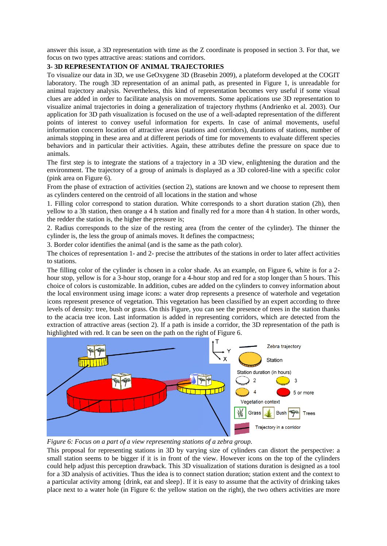answer this issue, a 3D representation with time as the Z coordinate is proposed in section 3. For that, we focus on two types attractive areas: stations and corridors.

### **3- 3D REPRESENTATION OF ANIMAL TRAJECTORIES**

To visualize our data in 3D, we use GeOxygene 3D (Brasebin 2009), a plateform developed at the COGIT laboratory. The rough 3D representation of an animal path, as presented in Figure 1, is unreadable for animal trajectory analysis. Nevertheless, this kind of representation becomes very useful if some visual clues are added in order to facilitate analysis on movements. Some applications use 3D representation to visualize animal trajectories in doing a generalization of trajectory rhythms (Andrienko et al. 2003). Our application for 3D path visualization is focused on the use of a well-adapted representation of the different points of interest to convey useful information for experts. In case of animal movements, useful information concern location of attractive areas (stations and corridors), durations of stations, number of animals stopping in these area and at different periods of time for movements to evaluate different species behaviors and in particular their activities. Again, these attributes define the pressure on space due to animals.

The first step is to integrate the stations of a trajectory in a 3D view, enlightening the duration and the environment. The trajectory of a group of animals is displayed as a 3D colored-line with a specific color (pink area on Figure 6).

From the phase of extraction of activities (section 2), stations are known and we choose to represent them as cylinders centered on the centroid of all locations in the station and whose

1. Filling color correspond to station duration. White corresponds to a short duration station (2h), then yellow to a 3h station, then orange a 4 h station and finally red for a more than 4 h station. In other words, the redder the station is, the higher the pressure is;

2. Radius corresponds to the size of the resting area (from the center of the cylinder). The thinner the cylinder is, the less the group of animals moves. It defines the compactness;

3. Border color identifies the animal (and is the same as the path color).

The choices of representation 1- and 2- precise the attributes of the stations in order to later affect activities to stations.

The filling color of the cylinder is chosen in a color shade. As an example, on Figure 6, white is for a 2 hour stop, yellow is for a 3-hour stop, orange for a 4-hour stop and red for a stop longer than 5 hours. This choice of colors is customizable. In addition, cubes are added on the cylinders to convey information about the local environment using image icons: a water drop represents a presence of waterhole and vegetation icons represent presence of vegetation. This vegetation has been classified by an expert according to three levels of density: tree, bush or grass. On this Figure, you can see the presence of trees in the station thanks to the acacia tree icon. Last information is added in representing corridors, which are detected from the extraction of attractive areas (section 2). If a path is inside a corridor, the 3D representation of the path is highlighted with red. It can be seen on the path on the right of Figure 6.



*Figure 6: Focus on a part of a view representing stations of a zebra group.*

This proposal for representing stations in 3D by varying size of cylinders can distort the perspective: a small station seems to be bigger if it is in front of the view. However icons on the top of the cylinders could help adjust this perception drawback. This 3D visualization of stations duration is designed as a tool for a 3D analysis of activities. Thus the idea is to connect station duration; station extent and the context to a particular activity among {drink, eat and sleep}. If it is easy to assume that the activity of drinking takes place next to a water hole (in Figure 6: the yellow station on the right), the two others activities are more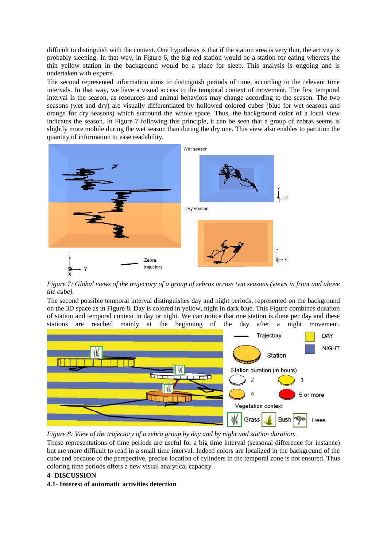difficult to distinguish with the context. One hypothesis is that if the station area is very thin, the activity is probably sleeping. In that way, in Figure 6, the big red station would be a station for eating whereas the thin yellow station in the background would be a place for sleep. This analysis is ongoing and is undertaken with experts.

The second represented information aims to distinguish periods of time, according to the relevant time intervals. In that way, we have a visual access to the temporal context of movement. The first temporal interval is the season, as resources and animal behaviors may change according to the season. The two seasons (wet and dry) are visually differentiated by hollowed colored cubes (blue for wet seasons and orange for dry seasons) which surround the whole space. Thus, the background color of a local view indicates the season. In Figure 7 following this principle, it can be seen that a group of zebras seems is slightly more mobile during the wet season than during the dry one. This view also enables to partition the quantity of information to ease readability.



*Figure 7: Global views of the trajectory of a group of zebras across two seasons (views in front and above the cube).*

The second possible temporal interval distinguishes day and night periods, represented on the background on the 3D space as in Figure 8. Day is colored in yellow, night in dark blue. This Figure combines duration of station and temporal context in day or night. We can notice that one station is done per day and these stations are reached mainly at the beginning of the day after a night movement.



*Figure 8: View of the trajectory of a zebra group by day and by night and station duration.*

These representations of time periods are useful for a big time interval (seasonal difference for instance) but are more difficult to read in a small time interval. Indeed colors are localized in the background of the cube and because of the perspective, precise location of cylinders in the temporal zone is not ensured. Thus coloring time periods offers a new visual analytical capacity.

### **4- DISCUSSION**

### **4.1- Interest of automatic activities detection**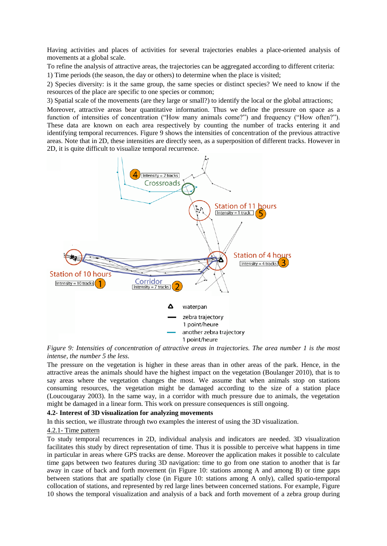Having activities and places of activities for several trajectories enables a place-oriented analysis of movements at a global scale.

To refine the analysis of attractive areas, the trajectories can be aggregated according to different criteria: 1) Time periods (the season, the day or others) to determine when the place is visited;

2) Species diversity: is it the same group, the same species or distinct species? We need to know if the resources of the place are specific to one species or common;

3) Spatial scale of the movements (are they large or small?) to identify the local or the global attractions;

Moreover, attractive areas bear quantitative information. Thus we define the pressure on space as a function of intensities of concentration ("How many animals come?") and frequency ("How often?"). These data are known on each area respectively by counting the number of tracks entering it and identifying temporal recurrences. Figure 9 shows the intensities of concentration of the previous attractive areas. Note that in 2D, these intensities are directly seen, as a superposition of different tracks. However in 2D, it is quite difficult to visualize temporal recurrence.



*Figure 9: Intensities of concentration of attractive areas in trajectories. The area number 1 is the most intense, the number 5 the less.*

The pressure on the vegetation is higher in these areas than in other areas of the park. Hence, in the attractive areas the animals should have the highest impact on the vegetation (Boulanger 2010), that is to say areas where the vegetation changes the most. We assume that when animals stop on stations consuming resources, the vegetation might be damaged according to the size of a station place (Loucougaray 2003). In the same way, in a corridor with much pressure due to animals, the vegetation might be damaged in a linear form. This work on pressure consequences is still ongoing.

### **4.2- Interest of 3D visualization for analyzing movements**

In this section, we illustrate through two examples the interest of using the 3D visualization.

### 4.2.1- Time pattern

To study temporal recurrences in 2D, individual analysis and indicators are needed. 3D visualization facilitates this study by direct representation of time. Thus it is possible to perceive what happens in time in particular in areas where GPS tracks are dense. Moreover the application makes it possible to calculate time gaps between two features during 3D navigation: time to go from one station to another that is far away in case of back and forth movement (in Figure 10: stations among A and among B) or time gaps between stations that are spatially close (in Figure 10: stations among A only), called spatio-temporal collocation of stations, and represented by red large lines between concerned stations. For example, Figure 10 shows the temporal visualization and analysis of a back and forth movement of a zebra group during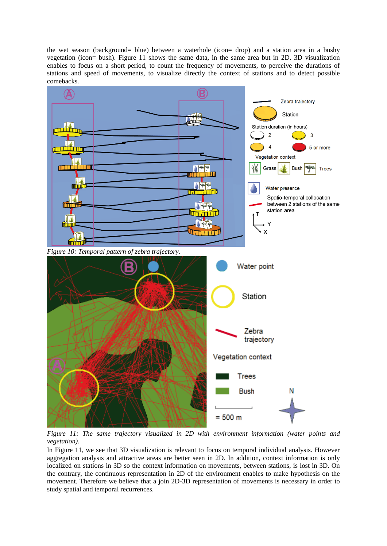the wet season (background= blue) between a waterhole (icon= drop) and a station area in a bushy vegetation (icon= bush). Figure 11 shows the same data, in the same area but in 2D. 3D visualization enables to focus on a short period, to count the frequency of movements, to perceive the durations of stations and speed of movements, to visualize directly the context of stations and to detect possible comebacks.



*Figure 11: The same trajectory visualized in 2D with environment information (water points and vegetation).*

In Figure 11, we see that 3D visualization is relevant to focus on temporal individual analysis. However aggregation analysis and attractive areas are better seen in 2D. In addition, context information is only localized on stations in 3D so the context information on movements, between stations, is lost in 3D. On the contrary, the continuous representation in 2D of the environment enables to make hypothesis on the movement. Therefore we believe that a join 2D-3D representation of movements is necessary in order to study spatial and temporal recurrences.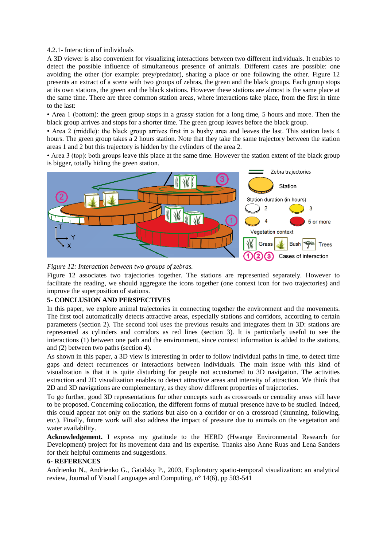### 4.2.1- Interaction of individuals

A 3D viewer is also convenient for visualizing interactions between two different individuals. It enables to detect the possible influence of simultaneous presence of animals. Different cases are possible: one avoiding the other (for example: prey/predator), sharing a place or one following the other. Figure 12 presents an extract of a scene with two groups of zebras, the green and the black groups. Each group stops at its own stations, the green and the black stations. However these stations are almost is the same place at the same time. There are three common station areas, where interactions take place, from the first in time to the last:

• Area 1 (bottom): the green group stops in a grassy station for a long time, 5 hours and more. Then the black group arrives and stops for a shorter time. The green group leaves before the black group.

• Area 2 (middle): the black group arrives first in a bushy area and leaves the last. This station lasts 4 hours. The green group takes a 2 hours station. Note that they take the same trajectory between the station areas 1 and 2 but this trajectory is hidden by the cylinders of the area 2.

• Area 3 (top): both groups leave this place at the same time. However the station extent of the black group is bigger, totally hiding the green station.



*Figure 12: Interaction between two groups of zebras.*

Figure 12 associates two trajectories together. The stations are represented separately. However to facilitate the reading, we should aggregate the icons together (one context icon for two trajectories) and improve the superposition of stations.

### **5- CONCLUSION AND PERSPECTIVES**

In this paper, we explore animal trajectories in connecting together the environment and the movements. The first tool automatically detects attractive areas, especially stations and corridors, according to certain parameters (section 2). The second tool uses the previous results and integrates them in 3D: stations are represented as cylinders and corridors as red lines (section 3). It is particularly useful to see the interactions (1) between one path and the environment, since context information is added to the stations, and (2) between two paths (section 4).

As shown in this paper, a 3D view is interesting in order to follow individual paths in time, to detect time gaps and detect recurrences or interactions between individuals. The main issue with this kind of visualization is that it is quite disturbing for people not accustomed to 3D navigation. The activities extraction and 2D visualization enables to detect attractive areas and intensity of attraction. We think that 2D and 3D navigations are complementary, as they show different properties of trajectories.

To go further, good 3D representations for other concepts such as crossroads or centrality areas still have to be proposed. Concerning collocation, the different forms of mutual presence have to be studied. Indeed, this could appear not only on the stations but also on a corridor or on a crossroad (shunning, following, etc.). Finally, future work will also address the impact of pressure due to animals on the vegetation and water availability.

**Acknowledgement.** I express my gratitude to the HERD (Hwange Environmental Research for Development) project for its movement data and its expertise. Thanks also Anne Ruas and Lena Sanders for their helpful comments and suggestions.

### **6- REFERENCES**

Andrienko N., Andrienko G., Gatalsky P., 2003, Exploratory spatio-temporal visualization: an analytical review, Journal of Visual Languages and Computing, n° 14(6), pp 503-541